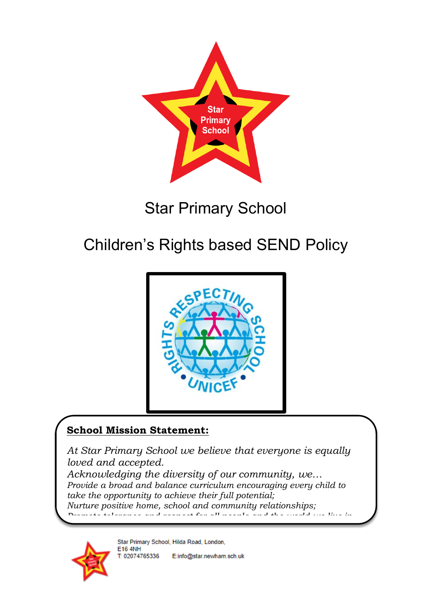

## Star Primary School

# Children's Rights based SEND Policy



### **School Mission Statement:**

*At Star Primary School we believe that everyone is equally loved and accepted.*

*Acknowledging the diversity of our community, we… Provide a broad and balance curriculum encouraging every child to take the opportunity to achieve their full potential; Nurture positive home, school and community relationships; Promote tolerance and respect for all people and the world we live in*



Star Primary School, Hilda Road, London, **E16 4NH** T: 02074765336 E:info@star.newham.sch.uk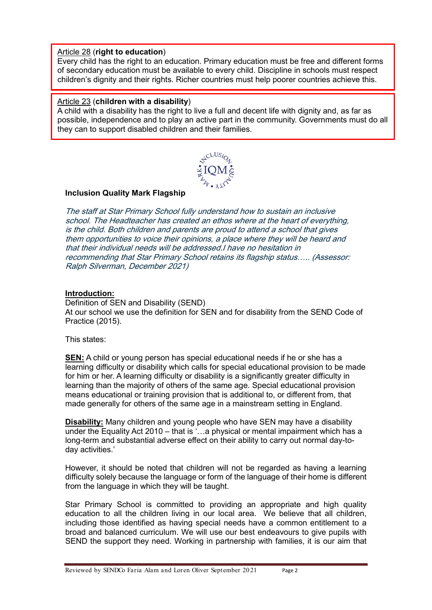#### Article 28 (**right to education**)

 Every child has the right to an education. Primary education must be free and different forms of secondary education must be available to every child. Discipline in schools must respect children's dignity and their rights. Richer countries must help poorer countries achieve this.

#### Article 23 (**children with a disability**)

A child with a disability has the right to live a full and decent life with dignity and, as far as possible, independence and to play an active part in the community. Governments must do all they can to support disabled children and their families.



#### **Inclusion Quality Mark Flagship**

The staff at Star Primary School fully understand how to sustain an inclusive school. The Headteacher has created an ethos where at the heart of everything, is the child. Both children and parents are proud to attend a school that gives them opportunities to voice their opinions, a place where they will be heard and that their individual needs will be addressed.I have no hesitation in recommending that Star Primary School retains its flagship status….. (Assessor: Ralph Silverman, December 2021)

#### **Introduction:**

Definition of SEN and Disability (SEND) At our school we use the definition for SEN and for disability from the SEND Code of Practice (2015).

This states:

**SEN:** A child or young person has special educational needs if he or she has a learning difficulty or disability which calls for special educational provision to be made for him or her. A learning difficulty or disability is a significantly greater difficulty in learning than the majority of others of the same age. Special educational provision means educational or training provision that is additional to, or different from, that made generally for others of the same age in a mainstream setting in England.

**Disability:** Many children and young people who have SEN may have a disability under the Equality Act 2010 – that is '…a physical or mental impairment which has a long-term and substantial adverse effect on their ability to carry out normal day-today activities.'

However, it should be noted that children will not be regarded as having a learning difficulty solely because the language or form of the language of their home is different from the language in which they will be taught.

Star Primary School is committed to providing an appropriate and high quality education to all the children living in our local area. We believe that all children, including those identified as having special needs have a common entitlement to a broad and balanced curriculum. We will use our best endeavours to give pupils with SEND the support they need. Working in partnership with families, it is our aim that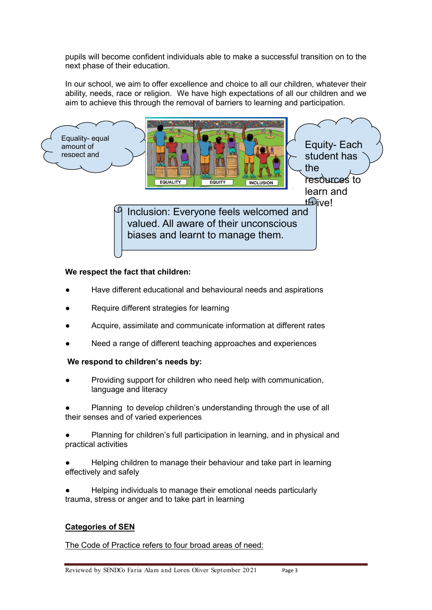pupils will become confident individuals able to make a successful transition on to the next phase of their education.

In our school, we aim to offer excellence and choice to all our children, whatever their ability, needs, race or religion. We have high expectations of all our children and we aim to achieve this through the removal of barriers to learning and participation.



#### **We respect the fact that children:**

- Have different educational and behavioural needs and aspirations
- Require different strategies for learning
- Acquire, assimilate and communicate information at different rates
- Need a range of different teaching approaches and experiences

#### **We respond to children's needs by:**

Providing support for children who need help with communication, language and literacy

Planning to develop children's understanding through the use of all their senses and of varied experiences

Planning for children's full participation in learning, and in physical and practical activities

Helping children to manage their behaviour and take part in learning effectively and safely

Helping individuals to manage their emotional needs particularly trauma, stress or anger and to take part in learning

#### **Categories of SEN**

The Code of Practice refers to four broad areas of need: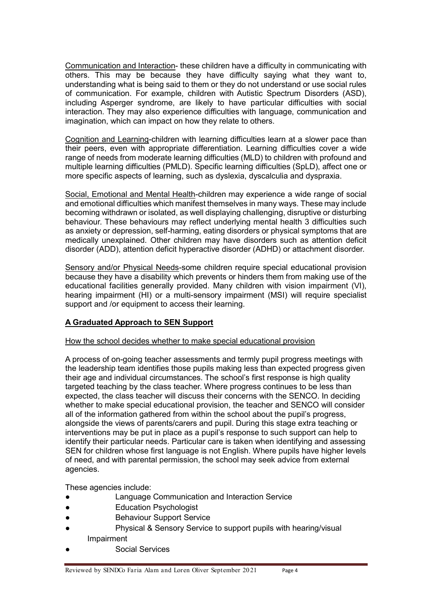Communication and Interaction- these children have a difficulty in communicating with others. This may be because they have difficulty saying what they want to, understanding what is being said to them or they do not understand or use social rules of communication. For example, children with Autistic Spectrum Disorders (ASD), including Asperger syndrome, are likely to have particular difficulties with social interaction. They may also experience difficulties with language, communication and imagination, which can impact on how they relate to others.

Cognition and Learning-children with learning difficulties learn at a slower pace than their peers, even with appropriate differentiation. Learning difficulties cover a wide range of needs from moderate learning difficulties (MLD) to children with profound and multiple learning difficulties (PMLD). Specific learning difficulties (SpLD), affect one or more specific aspects of learning, such as dyslexia, dyscalculia and dyspraxia.

Social, Emotional and Mental Health-children may experience a wide range of social and emotional difficulties which manifest themselves in many ways. These may include becoming withdrawn or isolated, as well displaying challenging, disruptive or disturbing behaviour. These behaviours may reflect underlying mental health 3 difficulties such as anxiety or depression, self-harming, eating disorders or physical symptoms that are medically unexplained. Other children may have disorders such as attention deficit disorder (ADD), attention deficit hyperactive disorder (ADHD) or attachment disorder.

Sensory and/or Physical Needs-some children require special educational provision because they have a disability which prevents or hinders them from making use of the educational facilities generally provided. Many children with vision impairment (VI), hearing impairment (HI) or a multi-sensory impairment (MSI) will require specialist support and /or equipment to access their learning.

#### **A Graduated Approach to SEN Support**

#### How the school decides whether to make special educational provision

A process of on-going teacher assessments and termly pupil progress meetings with the leadership team identifies those pupils making less than expected progress given their age and individual circumstances. The school's first response is high quality targeted teaching by the class teacher. Where progress continues to be less than expected, the class teacher will discuss their concerns with the SENCO. In deciding whether to make special educational provision, the teacher and SENCO will consider all of the information gathered from within the school about the pupil's progress, alongside the views of parents/carers and pupil. During this stage extra teaching or interventions may be put in place as a pupil's response to such support can help to identify their particular needs. Particular care is taken when identifying and assessing SEN for children whose first language is not English. Where pupils have higher levels of need, and with parental permission, the school may seek advice from external agencies.

These agencies include:

- Language Communication and Interaction Service
- Education Psychologist
- Behaviour Support Service
- Physical & Sensory Service to support pupils with hearing/visual Impairment
- Social Services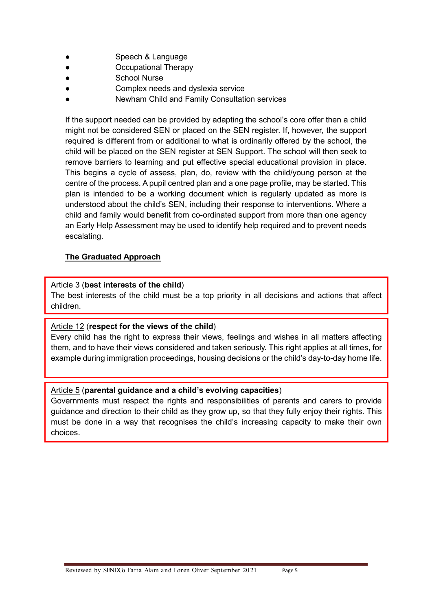- **Speech & Language**
- Occupational Therapy
- **School Nurse**
- Complex needs and dyslexia service
- Newham Child and Family Consultation services

If the support needed can be provided by adapting the school's core offer then a child might not be considered SEN or placed on the SEN register. If, however, the support required is different from or additional to what is ordinarily offered by the school, the child will be placed on the SEN register at SEN Support. The school will then seek to remove barriers to learning and put effective special educational provision in place. This begins a cycle of assess, plan, do, review with the child/young person at the centre of the process. A pupil centred plan and a one page profile, may be started. This plan is intended to be a working document which is regularly updated as more is understood about the child's SEN, including their response to interventions. Where a child and family would benefit from co-ordinated support from more than one agency an Early Help Assessment may be used to identify help required and to prevent needs escalating.

#### **The Graduated Approach**

#### Article 3 (**best interests of the child**)

The best interests of the child must be a top priority in all decisions and actions that affect children.

#### Article 12 (**respect for the views of the child**)

Every child has the right to express their views, feelings and wishes in all matters affecting them, and to have their views considered and taken seriously. This right applies at all times, for example during immigration proceedings, housing decisions or the child's day-to-day home life.

#### Article 5 (**parental guidance and a child's evolving capacities**)

Governments must respect the rights and responsibilities of parents and carers to provide guidance and direction to their child as they grow up, so that they fully enjoy their rights. This must be done in a way that recognises the child's increasing capacity to make their own choices.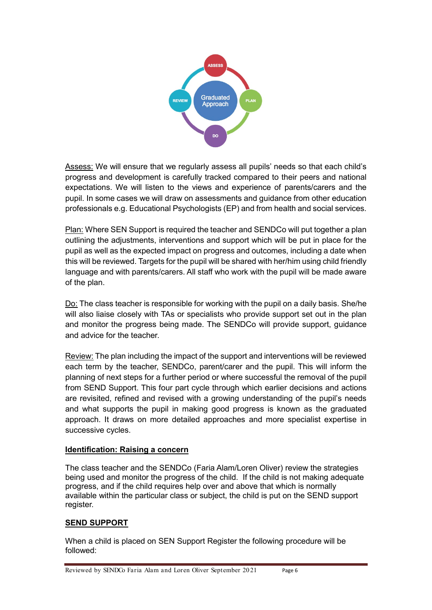

Assess: We will ensure that we regularly assess all pupils' needs so that each child's progress and development is carefully tracked compared to their peers and national expectations. We will listen to the views and experience of parents/carers and the pupil. In some cases we will draw on assessments and guidance from other education professionals e.g. Educational Psychologists (EP) and from health and social services.

Plan: Where SEN Support is required the teacher and SENDCo will put together a plan outlining the adjustments, interventions and support which will be put in place for the pupil as well as the expected impact on progress and outcomes, including a date when this will be reviewed. Targets for the pupil will be shared with her/him using child friendly language and with parents/carers. All staff who work with the pupil will be made aware of the plan.

Do: The class teacher is responsible for working with the pupil on a daily basis. She/he will also liaise closely with TAs or specialists who provide support set out in the plan and monitor the progress being made. The SENDCo will provide support, guidance and advice for the teacher.

Review: The plan including the impact of the support and interventions will be reviewed each term by the teacher, SENDCo, parent/carer and the pupil. This will inform the planning of next steps for a further period or where successful the removal of the pupil from SEND Support. This four part cycle through which earlier decisions and actions are revisited, refined and revised with a growing understanding of the pupil's needs and what supports the pupil in making good progress is known as the graduated approach. It draws on more detailed approaches and more specialist expertise in successive cycles.

#### **Identification: Raising a concern**

The class teacher and the SENDCo (Faria Alam/Loren Oliver) review the strategies being used and monitor the progress of the child. If the child is not making adequate progress, and if the child requires help over and above that which is normally available within the particular class or subject, the child is put on the SEND support register.

#### **SEND SUPPORT**

When a child is placed on SEN Support Register the following procedure will be followed: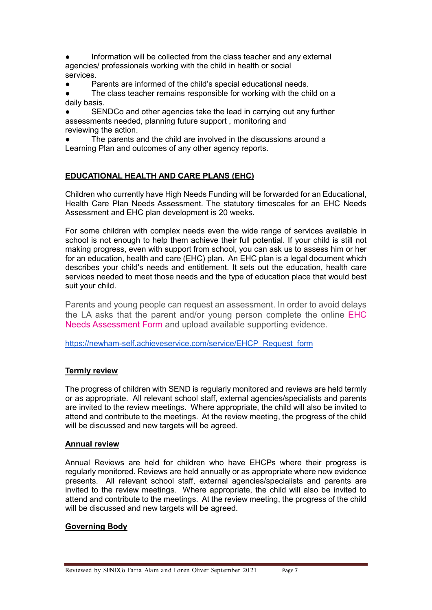Information will be collected from the class teacher and any external agencies/ professionals working with the child in health or social services.

● Parents are informed of the child's special educational needs.

The class teacher remains responsible for working with the child on a daily basis.

SENDCo and other agencies take the lead in carrying out any further assessments needed, planning future support , monitoring and reviewing the action.

The parents and the child are involved in the discussions around a Learning Plan and outcomes of any other agency reports.

#### **EDUCATIONAL HEALTH AND CARE PLANS (EHC)**

Children who currently have High Needs Funding will be forwarded for an Educational, Health Care Plan Needs Assessment. The statutory timescales for an EHC Needs Assessment and EHC plan development is 20 weeks.

For some children with complex needs even the wide range of services available in school is not enough to help them achieve their full potential. If your child is still not making progress, even with support from school, you can ask us to assess him or her for an education, health and care (EHC) plan. An EHC plan is a legal document which describes your child's needs and entitlement. It sets out the education, health care services needed to meet those needs and the type of education place that would best suit your child.

Parents and young people can request an assessment. In order to avoid delays the LA asks that the parent and/or young person complete the online [EHC](https://newham-self.achieveservice.com/service/EHCP_Request_form)  [Needs Assessment Form](https://newham-self.achieveservice.com/service/EHCP_Request_form) and upload available supporting evidence.

[https://newham-self.achieveservice.com/service/EHCP\\_Request\\_form](https://newham-self.achieveservice.com/service/EHCP_Request_form)

#### **Termly review**

The progress of children with SEND is regularly monitored and reviews are held termly or as appropriate. All relevant school staff, external agencies/specialists and parents are invited to the review meetings. Where appropriate, the child will also be invited to attend and contribute to the meetings. At the review meeting, the progress of the child will be discussed and new targets will be agreed.

#### **Annual review**

Annual Reviews are held for children who have EHCPs where their progress is regularly monitored. Reviews are held annually or as appropriate where new evidence presents. All relevant school staff, external agencies/specialists and parents are invited to the review meetings. Where appropriate, the child will also be invited to attend and contribute to the meetings. At the review meeting, the progress of the child will be discussed and new targets will be agreed.

#### **Governing Body**